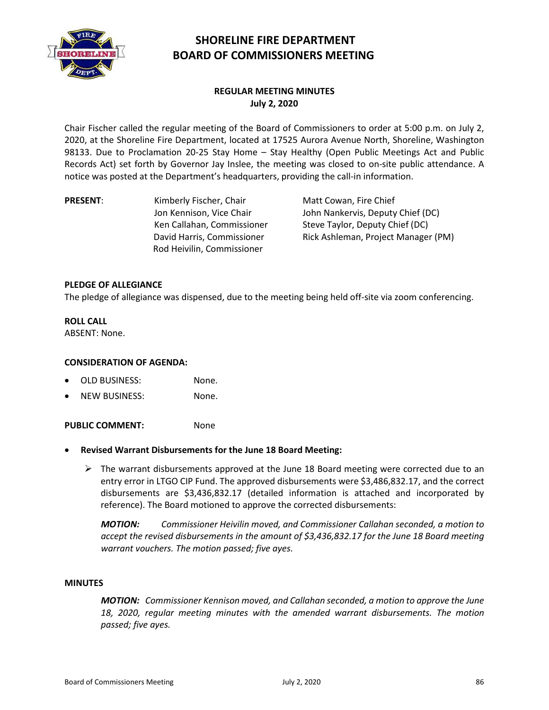

# **SHORELINE FIRE DEPARTMENT BOARD OF COMMISSIONERS MEETING**

## **REGULAR MEETING MINUTES July 2, 2020**

Chair Fischer called the regular meeting of the Board of Commissioners to order at 5:00 p.m. on July 2, 2020, at the Shoreline Fire Department, located at 17525 Aurora Avenue North, Shoreline, Washington 98133. Due to Proclamation 20-25 Stay Home – Stay Healthy (Open Public Meetings Act and Public Records Act) set forth by Governor Jay Inslee, the meeting was closed to on-site public attendance. A notice was posted at the Department's headquarters, providing the call-in information.

**PRESENT:** Kimberly Fischer, Chair Jon Kennison, Vice Chair Ken Callahan, Commissioner David Harris, Commissioner Rod Heivilin, Commissioner

Matt Cowan, Fire Chief John Nankervis, Deputy Chief (DC) Steve Taylor, Deputy Chief (DC) Rick Ashleman, Project Manager (PM)

## **PLEDGE OF ALLEGIANCE**

The pledge of allegiance was dispensed, due to the meeting being held off-site via zoom conferencing.

## **ROLL CALL**

ABSENT: None.

## **CONSIDERATION OF AGENDA:**

- OLD BUSINESS: None.
- NEW BUSINESS: None.

PUBLIC COMMENT: None

- **Revised Warrant Disbursements for the June 18 Board Meeting:**
	- $\triangleright$  The warrant disbursements approved at the June 18 Board meeting were corrected due to an entry error in LTGO CIP Fund. The approved disbursements were \$3,486,832.17, and the correct disbursements are \$3,436,832.17 (detailed information is attached and incorporated by reference). The Board motioned to approve the corrected disbursements:

*MOTION: Commissioner Heivilin moved, and Commissioner Callahan seconded, a motion to accept the revised disbursements in the amount of \$3,436,832.17 for the June 18 Board meeting warrant vouchers. The motion passed; five ayes.*

#### **MINUTES**

*MOTION: Commissioner Kennison moved, and Callahan seconded, a motion to approve the June 18, 2020, regular meeting minutes with the amended warrant disbursements. The motion passed; five ayes.*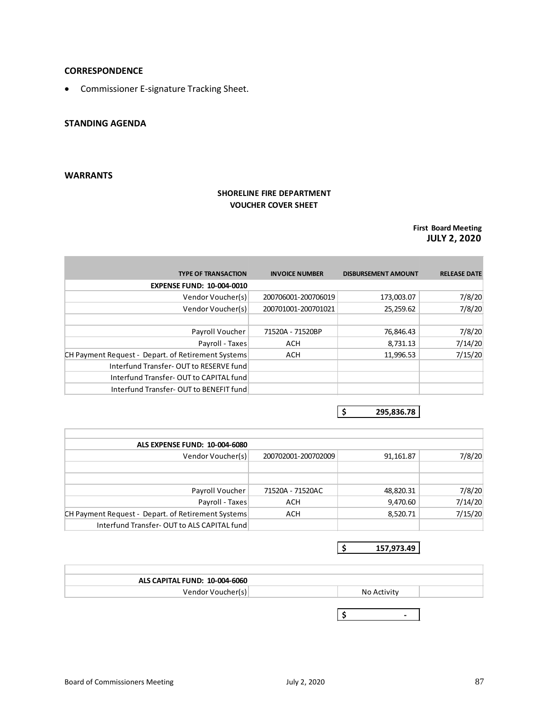## **CORRESPONDENCE**

• Commissioner E-signature Tracking Sheet.

## **STANDING AGENDA**

## **WARRANTS**

## **SHORELINE FIRE DEPARTMENT VOUCHER COVER SHEET**

## **First Board Meeting JULY 2, 2020**

| <b>TYPE OF TRANSACTION</b>                         | <b>INVOICE NUMBER</b> | <b>DISBURSEMENT AMOUNT</b> | <b>RELEASE DATE</b> |
|----------------------------------------------------|-----------------------|----------------------------|---------------------|
| <b>EXPENSE FUND: 10-004-0010</b>                   |                       |                            |                     |
| Vendor Voucher(s)                                  | 200706001-200706019   | 173,003.07                 | 7/8/20              |
| Vendor Voucher(s)                                  | 200701001-200701021   | 25,259.62                  | 7/8/20              |
|                                                    |                       |                            |                     |
| Payroll Voucher                                    | 71520A - 71520BP      | 76,846.43                  | 7/8/20              |
| Payroll - Taxes                                    | ACH                   | 8,731.13                   | 7/14/20             |
| CH Payment Request - Depart. of Retirement Systems | ACH                   | 11,996.53                  | 7/15/20             |
| Interfund Transfer-OUT to RESERVE fund             |                       |                            |                     |
| Interfund Transfer-OUT to CAPITAL fund             |                       |                            |                     |
| Interfund Transfer-OUT to BENEFIT fund             |                       |                            |                     |

**\$ 295,836.78**

| ALS EXPENSE FUND: 10-004-6080                      |                     |           |         |
|----------------------------------------------------|---------------------|-----------|---------|
| Vendor Voucher(s)                                  | 200702001-200702009 | 91,161.87 | 7/8/20  |
|                                                    |                     |           |         |
|                                                    |                     |           |         |
| Payroll Voucher                                    | 71520A - 71520AC    | 48,820.31 | 7/8/20  |
| Payroll - Taxes                                    | ACH                 | 9,470.60  | 7/14/20 |
| CH Payment Request - Depart. of Retirement Systems | ACH                 | 8,520.71  | 7/15/20 |
| Interfund Transfer-OUT to ALS CAPITAL fund         |                     |           |         |

**\$ 157,973.49**

| ALS CAPITAL FUND: 10-004-6060 |                          |
|-------------------------------|--------------------------|
| Vendor Voucher(s)             | No Activity              |
|                               |                          |
|                               | $\overline{\phantom{0}}$ |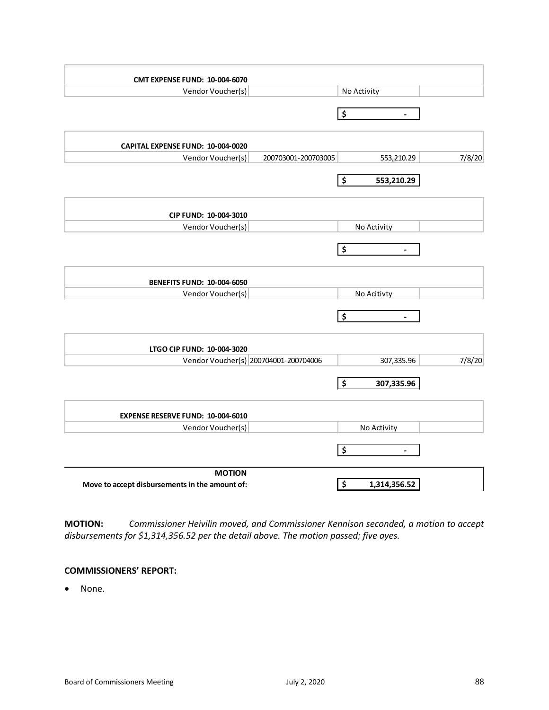| <b>CMT EXPENSE FUND: 10-004-6070</b>           |                     |                                                 |        |
|------------------------------------------------|---------------------|-------------------------------------------------|--------|
| Vendor Voucher(s)                              |                     | No Activity                                     |        |
|                                                |                     | \$<br>$\blacksquare$                            |        |
| CAPITAL EXPENSE FUND: 10-004-0020              |                     |                                                 |        |
| Vendor Voucher(s)                              | 200703001-200703005 | 553,210.29                                      | 7/8/20 |
|                                                |                     | \$<br>553,210.29                                |        |
| CIP FUND: 10-004-3010                          |                     |                                                 |        |
| Vendor Voucher(s)                              |                     | No Activity                                     |        |
|                                                |                     | \$<br>$\overline{\phantom{a}}$                  |        |
| <b>BENEFITS FUND: 10-004-6050</b>              |                     |                                                 |        |
| Vendor Voucher(s)                              |                     | No Acitivty                                     |        |
|                                                |                     | $\ddot{\bm{\zeta}}$<br>$\overline{\phantom{a}}$ |        |
| LTGO CIP FUND: 10-004-3020                     |                     |                                                 |        |
| Vendor Voucher(s) 200704001-200704006          |                     | 307,335.96                                      | 7/8/20 |
|                                                |                     | \$<br>307,335.96                                |        |
| <b>EXPENSE RESERVE FUND: 10-004-6010</b>       |                     |                                                 |        |
| Vendor Voucher(s)                              |                     | No Activity                                     |        |
|                                                |                     | \$<br>$\overline{\phantom{a}}$                  |        |
| <b>MOTION</b>                                  |                     |                                                 |        |
| Move to accept disbursements in the amount of: |                     | \$<br>1,314,356.52                              |        |

**MOTION:** *Commissioner Heivilin moved, and Commissioner Kennison seconded, a motion to accept disbursements for \$1,314,356.52 per the detail above. The motion passed; five ayes.*

### **COMMISSIONERS' REPORT:**

• None.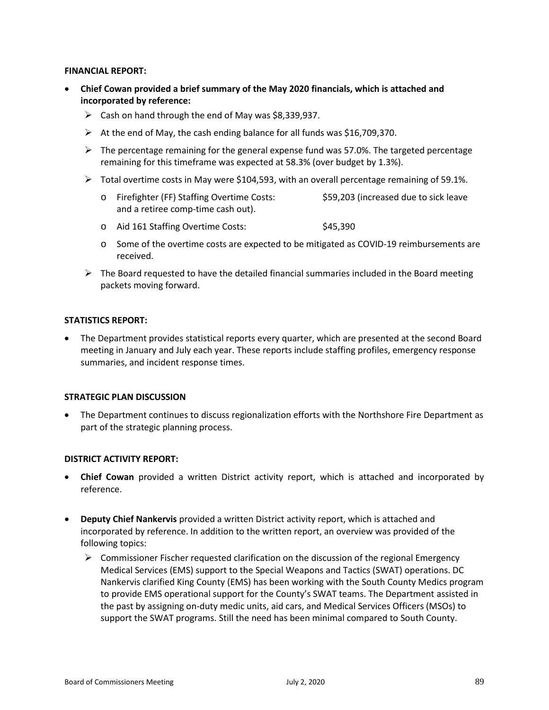#### **FINANCIAL REPORT:**

- **Chief Cowan provided a brief summary of the May 2020 financials, which is attached and incorporated by reference:**
	- $\triangleright$  Cash on hand through the end of May was \$8,339,937.
	- $\triangleright$  At the end of May, the cash ending balance for all funds was \$16,709,370.
	- $\triangleright$  The percentage remaining for the general expense fund was 57.0%. The targeted percentage remaining for this timeframe was expected at 58.3% (over budget by 1.3%).
	- $\triangleright$  Total overtime costs in May were \$104,593, with an overall percentage remaining of 59.1%.
		- o Firefighter (FF) Staffing Overtime Costs: \$59,203 (increased due to sick leave and a retiree comp-time cash out).
		- o Aid 161 Staffing Overtime Costs: \$45,390
		- o Some of the overtime costs are expected to be mitigated as COVID-19 reimbursements are received.
	- $\triangleright$  The Board requested to have the detailed financial summaries included in the Board meeting packets moving forward.

## **STATISTICS REPORT:**

• The Department provides statistical reports every quarter, which are presented at the second Board meeting in January and July each year. These reports include staffing profiles, emergency response summaries, and incident response times.

#### **STRATEGIC PLAN DISCUSSION**

• The Department continues to discuss regionalization efforts with the Northshore Fire Department as part of the strategic planning process.

#### **DISTRICT ACTIVITY REPORT:**

- **Chief Cowan** provided a written District activity report, which is attached and incorporated by reference.
- **Deputy Chief Nankervis** provided a written District activity report, which is attached and incorporated by reference. In addition to the written report, an overview was provided of the following topics:
	- $\triangleright$  Commissioner Fischer requested clarification on the discussion of the regional Emergency Medical Services (EMS) support to the Special Weapons and Tactics (SWAT) operations. DC Nankervis clarified King County (EMS) has been working with the South County Medics program to provide EMS operational support for the County's SWAT teams. The Department assisted in the past by assigning on-duty medic units, aid cars, and Medical Services Officers (MSOs) to support the SWAT programs. Still the need has been minimal compared to South County.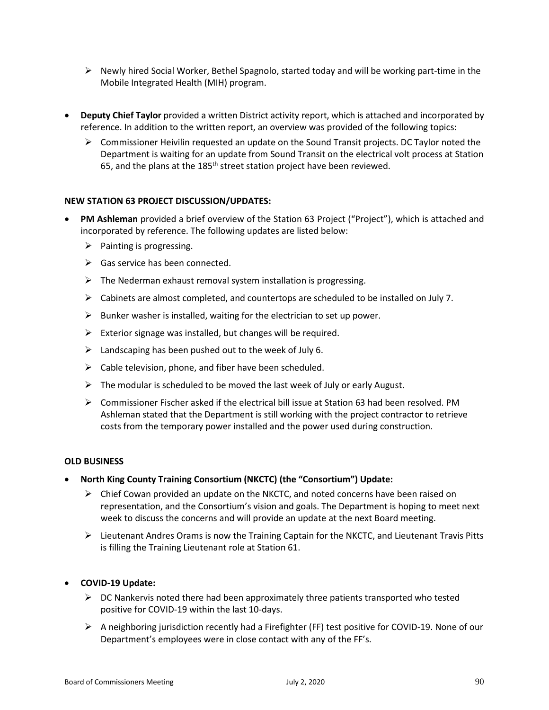- $\triangleright$  Newly hired Social Worker, Bethel Spagnolo, started today and will be working part-time in the Mobile Integrated Health (MIH) program.
- **Deputy Chief Taylor** provided a written District activity report, which is attached and incorporated by reference. In addition to the written report, an overview was provided of the following topics:
	- $\triangleright$  Commissioner Heivilin requested an update on the Sound Transit projects. DC Taylor noted the Department is waiting for an update from Sound Transit on the electrical volt process at Station 65, and the plans at the 185<sup>th</sup> street station project have been reviewed.

## **NEW STATION 63 PROJECT DISCUSSION/UPDATES:**

- **PM Ashleman** provided a brief overview of the Station 63 Project ("Project"), which is attached and incorporated by reference. The following updates are listed below:
	- $\triangleright$  Painting is progressing.
	- $\triangleright$  Gas service has been connected.
	- $\triangleright$  The Nederman exhaust removal system installation is progressing.
	- $\triangleright$  Cabinets are almost completed, and countertops are scheduled to be installed on July 7.
	- $\triangleright$  Bunker washer is installed, waiting for the electrician to set up power.
	- $\triangleright$  Exterior signage was installed, but changes will be required.
	- $\triangleright$  Landscaping has been pushed out to the week of July 6.
	- $\triangleright$  Cable television, phone, and fiber have been scheduled.
	- $\triangleright$  The modular is scheduled to be moved the last week of July or early August.
	- $\triangleright$  Commissioner Fischer asked if the electrical bill issue at Station 63 had been resolved. PM Ashleman stated that the Department is still working with the project contractor to retrieve costs from the temporary power installed and the power used during construction.

#### **OLD BUSINESS**

- **North King County Training Consortium (NKCTC) (the "Consortium") Update:**
	- $\triangleright$  Chief Cowan provided an update on the NKCTC, and noted concerns have been raised on representation, and the Consortium's vision and goals. The Department is hoping to meet next week to discuss the concerns and will provide an update at the next Board meeting.
	- $\triangleright$  Lieutenant Andres Orams is now the Training Captain for the NKCTC, and Lieutenant Travis Pitts is filling the Training Lieutenant role at Station 61.

#### • **COVID-19 Update:**

- $\triangleright$  DC Nankervis noted there had been approximately three patients transported who tested positive for COVID-19 within the last 10-days.
- $\triangleright$  A neighboring jurisdiction recently had a Firefighter (FF) test positive for COVID-19. None of our Department's employees were in close contact with any of the FF's.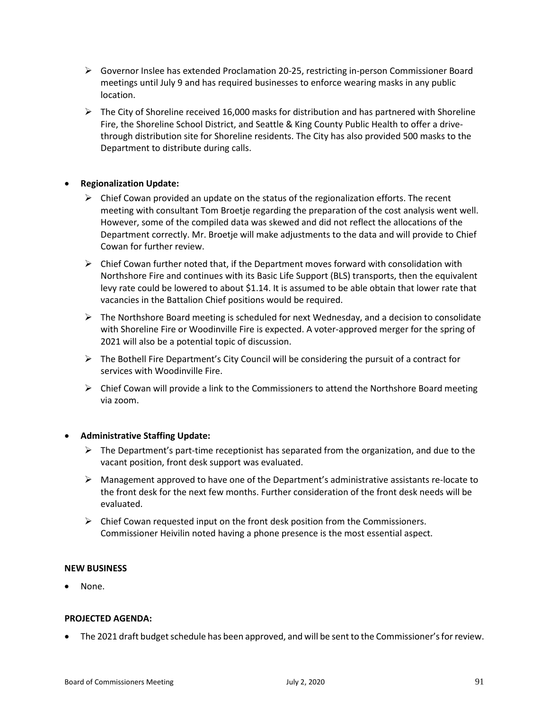- $\triangleright$  Governor Inslee has extended Proclamation 20-25, restricting in-person Commissioner Board meetings until July 9 and has required businesses to enforce wearing masks in any public location.
- $\triangleright$  The City of Shoreline received 16,000 masks for distribution and has partnered with Shoreline Fire, the Shoreline School District, and Seattle & King County Public Health to offer a drivethrough distribution site for Shoreline residents. The City has also provided 500 masks to the Department to distribute during calls.

## • **Regionalization Update:**

- $\triangleright$  Chief Cowan provided an update on the status of the regionalization efforts. The recent meeting with consultant Tom Broetje regarding the preparation of the cost analysis went well. However, some of the compiled data was skewed and did not reflect the allocations of the Department correctly. Mr. Broetje will make adjustments to the data and will provide to Chief Cowan for further review.
- $\triangleright$  Chief Cowan further noted that, if the Department moves forward with consolidation with Northshore Fire and continues with its Basic Life Support (BLS) transports, then the equivalent levy rate could be lowered to about \$1.14. It is assumed to be able obtain that lower rate that vacancies in the Battalion Chief positions would be required.
- $\triangleright$  The Northshore Board meeting is scheduled for next Wednesday, and a decision to consolidate with Shoreline Fire or Woodinville Fire is expected. A voter-approved merger for the spring of 2021 will also be a potential topic of discussion.
- $\triangleright$  The Bothell Fire Department's City Council will be considering the pursuit of a contract for services with Woodinville Fire.
- $\triangleright$  Chief Cowan will provide a link to the Commissioners to attend the Northshore Board meeting via zoom.

#### • **Administrative Staffing Update:**

- $\triangleright$  The Department's part-time receptionist has separated from the organization, and due to the vacant position, front desk support was evaluated.
- $\triangleright$  Management approved to have one of the Department's administrative assistants re-locate to the front desk for the next few months. Further consideration of the front desk needs will be evaluated.
- $\triangleright$  Chief Cowan requested input on the front desk position from the Commissioners. Commissioner Heivilin noted having a phone presence is the most essential aspect.

#### **NEW BUSINESS**

• None.

#### **PROJECTED AGENDA:**

• The 2021 draft budget schedule has been approved, and will be sent to the Commissioner's for review.